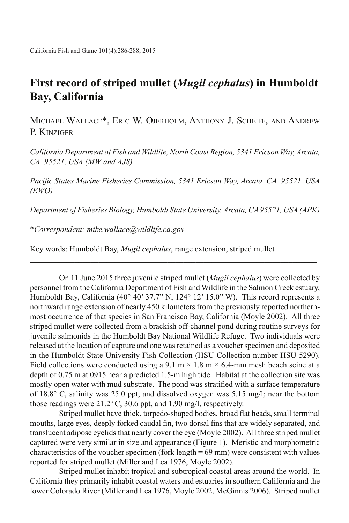## **First record of striped mullet (***Mugil cephalus***) in Humboldt Bay, California**

Michael Wallace\*, Eric W. Ojerholm, Anthony J. Scheiff, and Andrew P. KINZIGER

*California Department of Fish and Wildlife, North Coast Region, 5341 Ericson Way, Arcata, CA 95521, USA (MW and AJS)*

*Pacific States Marine Fisheries Commission, 5341 Ericson Way, Arcata, CA 95521, USA (EWO)*

*Department of Fisheries Biology, Humboldt State University, Arcata, CA 95521, USA (APK)*

 $\mathcal{L}_\text{max}$  , and the set of the set of the set of the set of the set of the set of the set of the set of the set of

\**Correspondent: mike.wallace@wildlife.ca.gov*

Key words: Humboldt Bay, *Mugil cephalus*, range extension, striped mullet

On 11 June 2015 three juvenile striped mullet (*Mugil cephalus*) were collected by personnel from the California Department of Fish and Wildlife in the Salmon Creek estuary, Humboldt Bay, California (40° 40' 37.7" N, 124° 12' 15.0" W). This record represents a northward range extension of nearly 450 kilometers from the previously reported northernmost occurrence of that species in San Francisco Bay, California (Moyle 2002). All three striped mullet were collected from a brackish off-channel pond during routine surveys for juvenile salmonids in the Humboldt Bay National Wildlife Refuge. Two individuals were released at the location of capture and one was retained as a voucher specimen and deposited in the Humboldt State University Fish Collection (HSU Collection number HSU 5290). Field collections were conducted using a 9.1 m  $\times$  1.8 m  $\times$  6.4-mm mesh beach seine at a depth of 0.75 m at 0915 near a predicted 1.5-m high tide. Habitat at the collection site was mostly open water with mud substrate. The pond was stratified with a surface temperature of 18.8° C, salinity was 25.0 ppt, and dissolved oxygen was 5.15 mg/l; near the bottom those readings were 21.2°C, 30.6 ppt, and 1.90 mg/l, respectively.

Striped mullet have thick, torpedo-shaped bodies, broad flat heads, small terminal mouths, large eyes, deeply forked caudal fin, two dorsal fins that are widely separated, and translucent adipose eyelids that nearly cover the eye (Moyle 2002). All three striped mullet captured were very similar in size and appearance (Figure 1). Meristic and morphometric characteristics of the voucher specimen (fork length = 69 mm) were consistent with values reported for striped mullet (Miller and Lea 1976, Moyle 2002).

Striped mullet inhabit tropical and subtropical coastal areas around the world. In California they primarily inhabit coastal waters and estuaries in southern California and the lower Colorado River (Miller and Lea 1976, Moyle 2002, McGinnis 2006). Striped mullet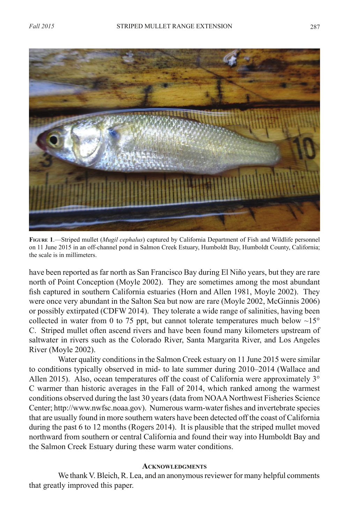

**Figure 1**.—Striped mullet (*Mugil cephalus*) captured by California Department of Fish and Wildlife personnel on 11 June 2015 in an off-channel pond in Salmon Creek Estuary, Humboldt Bay, Humboldt County, California; the scale is in millimeters.

have been reported as far north as San Francisco Bay during El Niño years, but they are rare north of Point Conception (Moyle 2002). They are sometimes among the most abundant fish captured in southern California estuaries (Horn and Allen 1981, Moyle 2002). They were once very abundant in the Salton Sea but now are rare (Moyle 2002, McGinnis 2006) or possibly extirpated (CDFW 2014). They tolerate a wide range of salinities, having been collected in water from 0 to 75 ppt, but cannot tolerate temperatures much below  $\sim15^{\circ}$ C. Striped mullet often ascend rivers and have been found many kilometers upstream of saltwater in rivers such as the Colorado River, Santa Margarita River, and Los Angeles River (Moyle 2002).

Water quality conditions in the Salmon Creek estuary on 11 June 2015 were similar to conditions typically observed in mid- to late summer during 2010–2014 (Wallace and Allen 2015). Also, ocean temperatures off the coast of California were approximately  $3^\circ$ C warmer than historic averages in the Fall of 2014, which ranked among the warmest conditions observed during the last 30 years (data from NOAA Northwest Fisheries Science Center; http://www.nwfsc.noaa.gov). Numerous warm-water fishes and invertebrate species that are usually found in more southern waters have been detected off the coast of California during the past 6 to 12 months (Rogers 2014). It is plausible that the striped mullet moved northward from southern or central California and found their way into Humboldt Bay and the Salmon Creek Estuary during these warm water conditions.

## **Acknowledgments**

We thank V. Bleich, R. Lea, and an anonymous reviewer for many helpful comments that greatly improved this paper.